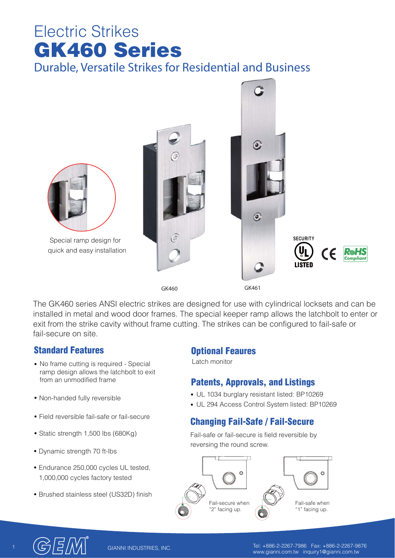# Electric Strikes **GK460 Series Durable, Versatile Strikes for Residential and Business**



The GK460 series ANSI electric strikes are designed for use with cylindrical locksets and can be installed in metal and wood door frames. The special keeper ramp allows the latchbolt to enter or exit from the strike cavity without frame cutting. The strikes can be configured to fail-safe or fail-secure on site.

### **Standard Features**

- No frame cutting is required Special ramp design allows the latchbolt to exit from an unmodified frame
- Non-handed fully reversible
- Field reversible fail-safe or fail-secure
- Static strength 1,500 lbs (680Kg)
- Dynamic strength 70 ft-lbs
- Endurance 250,000 cycles UL tested, 1,000,000 cycles factory tested
- Brushed stainless steel (US32D) finish

#### **Optional Feaures**

Latch monitor

# **Patents, Approvals, and Listings**

- UL 1034 burglary resistant listed: BP10269
- UL 294 Access Control System listed: BP10269

# **Changing Fail-Safe / Fail-Secure**

Fail-safe or fail-secure is field reversible by reversing the round screw.





1 Tel: +886-2-2267-7986 Fax: +886-2-2267-9876 www.gianni.com.tw inquiry1@gianni.com.tw